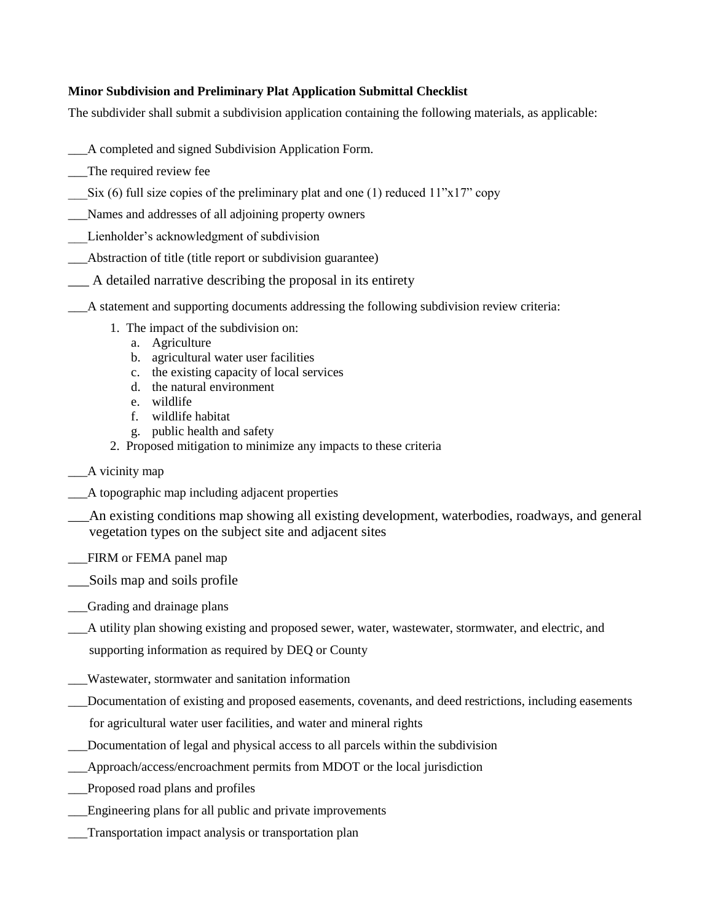## **Minor Subdivision and Preliminary Plat Application Submittal Checklist**

The subdivider shall submit a subdivision application containing the following materials, as applicable:

- \_\_\_A completed and signed Subdivision Application Form.
- The required review fee
- Six (6) full size copies of the preliminary plat and one (1) reduced  $11"x17"$  copy
- \_\_\_Names and addresses of all adjoining property owners
- Lienholder's acknowledgment of subdivision
- \_\_\_Abstraction of title (title report or subdivision guarantee)
- \_\_\_ A detailed narrative describing the proposal in its entirety
- \_\_\_A statement and supporting documents addressing the following subdivision review criteria:
	- 1. The impact of the subdivision on:
		- a. Agriculture
		- b. agricultural water user facilities
		- c. the existing capacity of local services
		- d. the natural environment
		- e. wildlife
		- f. wildlife habitat
		- g. public health and safety
	- 2. Proposed mitigation to minimize any impacts to these criteria
- \_\_A vicinity map
- \_\_\_A topographic map including adjacent properties
- \_\_\_An existing conditions map showing all existing development, waterbodies, roadways, and general vegetation types on the subject site and adjacent sites
- \_\_\_FIRM or FEMA panel map
- \_\_\_Soils map and soils profile
- \_\_\_Grading and drainage plans
- \_\_\_A utility plan showing existing and proposed sewer, water, wastewater, stormwater, and electric, and
	- supporting information as required by DEQ or County
- \_\_\_Wastewater, stormwater and sanitation information
- \_\_\_Documentation of existing and proposed easements, covenants, and deed restrictions, including easements for agricultural water user facilities, and water and mineral rights
- \_\_\_Documentation of legal and physical access to all parcels within the subdivision
- \_\_\_Approach/access/encroachment permits from MDOT or the local jurisdiction
- \_\_\_Proposed road plans and profiles
- \_\_\_Engineering plans for all public and private improvements
- \_\_\_Transportation impact analysis or transportation plan